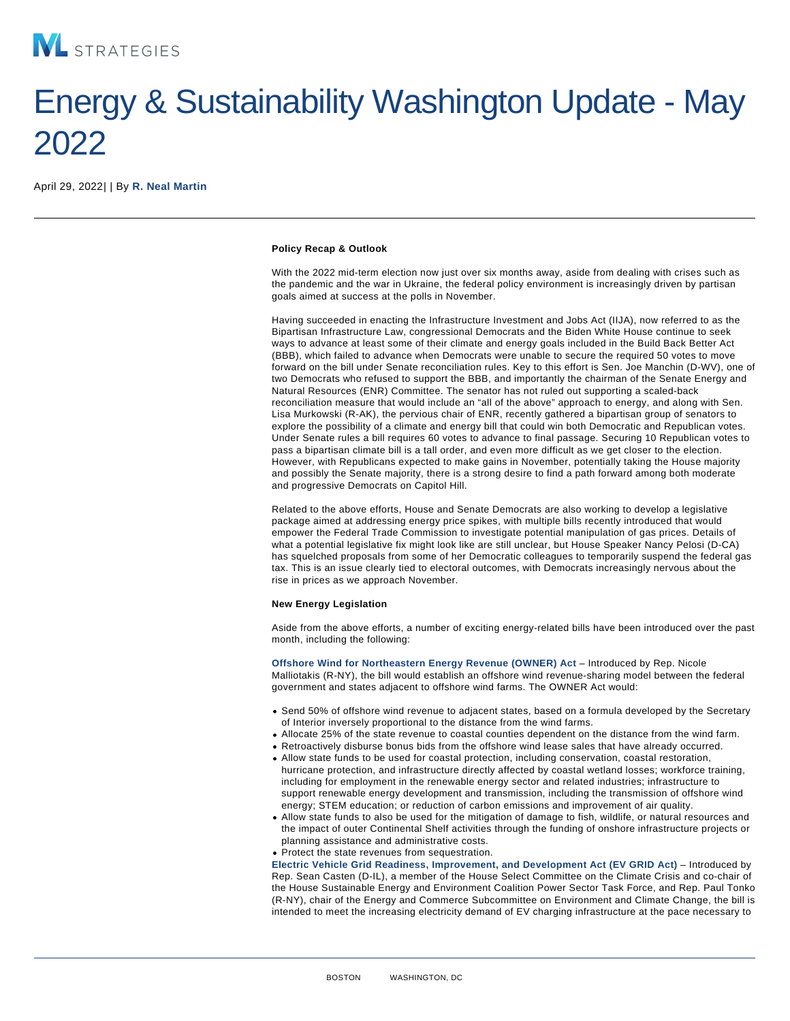## Energy & Sustainability Washington Update - May 2022

April 29, 2022| | By [R. Neal Martin](/our-people/r-neal-martin)

Policy Recap & Outlook

With the 2022 mid-term election now just over six months away, aside from dealing with crises such as the pandemic and the war in Ukraine, the federal policy environment is increasingly driven by partisan goals aimed at success at the polls in November.

Having succeeded in enacting the Infrastructure Investment and Jobs Act (IIJA), now referred to as the Bipartisan Infrastructure Law, congressional Democrats and the Biden White House continue to seek ways to advance at least some of their climate and energy goals included in the Build Back Better Act (BBB), which failed to advance when Democrats were unable to secure the required 50 votes to move forward on the bill under Senate reconciliation rules. Key to this effort is Sen. Joe Manchin (D-WV), one of two Democrats who refused to support the BBB, and importantly the chairman of the Senate Energy and Natural Resources (ENR) Committee. The senator has not ruled out supporting a scaled-back reconciliation measure that would include an "all of the above" approach to energy, and along with Sen. Lisa Murkowski (R-AK), the pervious chair of ENR, recently gathered a bipartisan group of senators to explore the possibility of a climate and energy bill that could win both Democratic and Republican votes. Under Senate rules a bill requires 60 votes to advance to final passage. Securing 10 Republican votes to pass a bipartisan climate bill is a tall order, and even more difficult as we get closer to the election. However, with Republicans expected to make gains in November, potentially taking the House majority and possibly the Senate majority, there is a strong desire to find a path forward among both moderate and progressive Democrats on Capitol Hill.

Related to the above efforts, House and Senate Democrats are also working to develop a legislative package aimed at addressing energy price spikes, with multiple bills recently introduced that would empower the Federal Trade Commission to investigate potential manipulation of gas prices. Details of what a potential legislative fix might look like are still unclear, but House Speaker Nancy Pelosi (D-CA) has squelched proposals from some of her Democratic colleagues to temporarily suspend the federal gas tax. This is an issue clearly tied to electoral outcomes, with Democrats increasingly nervous about the rise in prices as we approach November.

New Energy Legislation

Aside from the above efforts, a number of exciting energy-related bills have been introduced over the past month, including the following:

[Offshore Wind for Northeastern Energy Revenue \(OWNER\) Act](https://www.congress.gov/bill/117th-congress/house-bill/7554?q={"search":["owner+act","owner","act"]}&s=6&r=2) – Introduced by Rep. Nicole Malliotakis (R-NY), the bill would establish an offshore wind revenue-sharing model between the federal government and states adjacent to offshore wind farms. The OWNER Act would:

- Send 50% of offshore wind revenue to adjacent states, based on a formula developed by the Secretary of Interior inversely proportional to the distance from the wind farms.
- Allocate 25% of the state revenue to coastal counties dependent on the distance from the wind farm.
- Retroactively disburse bonus bids from the offshore wind lease sales that have already occurred.
- Allow state funds to be used for coastal protection, including conservation, coastal restoration, hurricane protection, and infrastructure directly affected by coastal wetland losses; workforce training, including for employment in the renewable energy sector and related industries; infrastructure to support renewable energy development and transmission, including the transmission of offshore wind energy; STEM education; or reduction of carbon emissions and improvement of air quality.
- Allow state funds to also be used for the mitigation of damage to fish, wildlife, or natural resources and the impact of outer Continental Shelf activities through the funding of onshore infrastructure projects or planning assistance and administrative costs.

Protect the state revenues from sequestration.

[Electric Vehicle Grid Readiness, Improvement, and Development Act \(EV GRID Act\)](https://www.congress.gov/bill/117th-congress/house-bill/7453?q={"search":["ev+grid+act","ev","grid","act"]}&s=7&r=1) – Introduced by Rep. Sean Casten (D-IL), a member of the House Select Committee on the Climate Crisis and co-chair of the House Sustainable Energy and Environment Coalition Power Sector Task Force, and Rep. Paul Tonko (R-NY), chair of the Energy and Commerce Subcommittee on Environment and Climate Change, the bill is intended to meet the increasing electricity demand of EV charging infrastructure at the pace necessary to